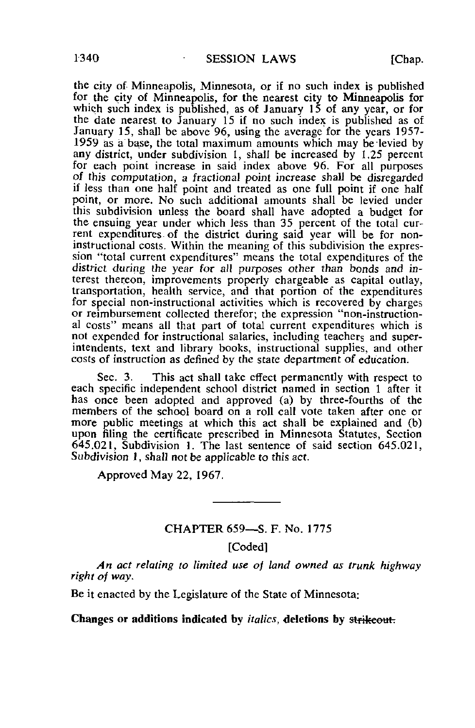the city of Minneapolis, Minnesota, or if no such index is published for the city of Minneapolis, for the nearest city to Minneapolis for which such index is published, as of January 15 of any year, or for the date nearest to January 15 if no such index is published as of January 15, shall be above 96, using the average for the years 1957- 1959 as a base, the total maximum amounts which may be levied by any district, under subdivision 1, shall be increased by 1.25 percent for each point increase in said index above 96. For all purposes of this computation, a fractional point increase shall be disregarded if less than one half point and treated as one full point if one half point, or more. No such additional amounts shall be levied under this subdivision unless the board shall have adopted a budget for the ensuing year under which less than 35 percent of the total current expenditures of the district during said year will be for noninstructional costs. Within the meaning of this subdivision the expression "total current expenditures" means the total expenditures of the district during the year for all purposes other than bonds and interest thereon, improvements properly chargeable as capital outlay, transportation, health service, and that portion of the expenditures for special non-instructional activities which is recovered by charges or reimbursement collected therefor; the expression "non-instructional costs" means all that part of total current expenditures which is not expended for instructional salaries, including teachers and superintendents, text and library books, instructional supplies, and other costs of instruction as defined by the state department of education.

Sec. 3. This act shall take effect permanently with respect to each specific independent school district named in section 1 after it has once been adopted and approved (a) by three-fourths of the members of the school board on a roll call vote taken after one or more public meetings at which this act shall be explained and (b) upon filing the certificate prescribed in Minnesota Statutes, Section 645.021, Subdivision 1. The last sentence of said section 645.021, Subdivision 1, shall not be applicable to this act.

Approved May 22, 1967.

## CHAPTER 659—S. F. No. 1775

[Coded]

An act relating to limited use of land owned as trunk highway right of way.

Be it enacted by the Legislature of the State of Minnesota:

Changes or additions indicated by *italics*, deletions by strikeout.